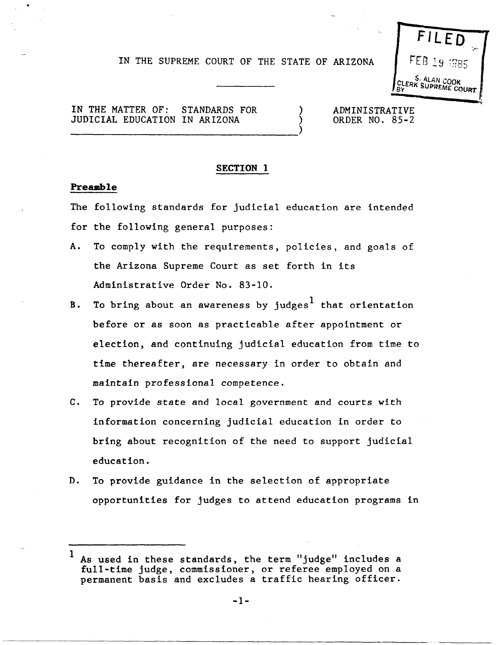# IN THE SUPREME COURT OF THE STATE OF ARIZONA

) )



IN THE MATTER OF: STANDARDS FOR JUDICIAL EDUCATION IN ARIZONA

----------------------------------)

ADMINISTRATIVE ORDER NO. 85-2

#### SECTION **1**

### **Preamble**

The following standards for judicial education are intended for the following general purposes:

- A. To comply with the requirements, policies, and goals of the Arizona Supreme Court as set forth in its Administrative Order No. 83-10.
- B. To bring about an awareness by judges<sup>1</sup> that orientation before or as soon as practicable after appointment or election, and continuing judicial education from time to time thereafter, are necessary in order to obtain and maintain professional competence.
- C. To provide state and local government and courts with information concerning judicial education in order to bring about recognition of the need to support judicial education.
- D. To provide guidance in the selection of appropriate opportunities for judges to attend education programs in

 $<sup>1</sup>$  As used in these standards, the term "judge" includes a</sup> full-time judge, commissioner, or referee employed on a permanent basis and excludes a traffic hearing officer.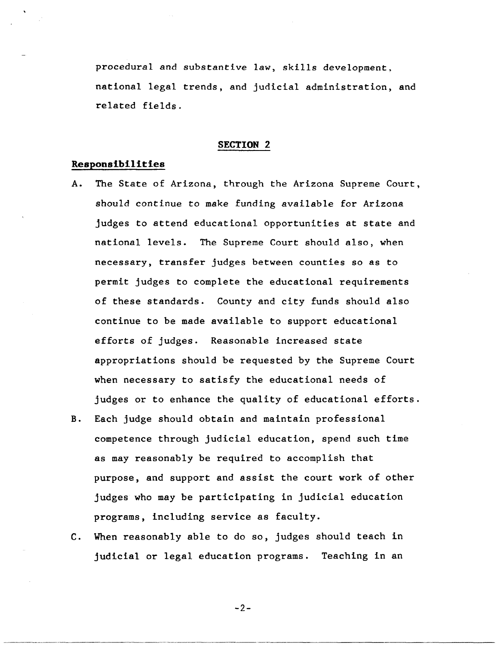procedural and substantive law, skills development, national legal trends, and judicial administration, and related fields.

### **SECTION 2**

## **Responsibilities**

- A. The State of Arizona, through the Arizona Supreme Court, should continue to make funding available for Arizona judges to attend educational opportunities at state and national levels. The Supreme Court should also, when necessary, transfer judges between counties so as to permit judges to complete the educational requirements of these standards. County and city funds should also continue to be made available to support educational efforts of judges. Reasonable increased state appropriations should be requested by the Supreme Court when necessary to satisfy the educational needs of judges or to enhance the quality of educational efforts.
- B. Each judge should obtain and maintain professional competence through judicial education, spend such time as may reasonably be required to accomplish that purpose, and support and assist the court work of other judges who may be participating in judicial education programs, including service as faculty.
- C. When reasonably able to do so, judges should teach in judicial or legal education programs. Teaching in an

 $-2-$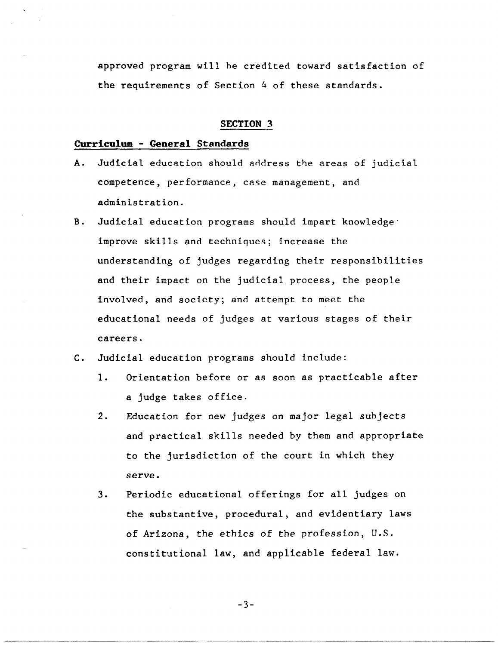approved program will he credited toward satisfaction of the requirements of Section 4 of these standards.

### **SECTION 3**

## **Curriculum - General Standards**

- A. Judicial education should address the areas of judicial competence, performance, case management, and administration.
- B. Judicial education programs should impart knowledge' improve skills and techniques; increase the understanding of judges regarding their responsibilities and their impact on the judicial process, the people involved, and society; and attempt to meet the educational needs of judges at various stages of their careers.
- C. Judicial education programs should include:
	- 1. Orientation before or as soon as practicable after a judge takes office.
	- 2. Education for new judges on major legal subjects and practical skills needed by them and appropriate to the jurisdiction of the court in which they serve.
	- 3. Periodic educational offerings for all judges on the substantive, procedural, and evidentiary laws of Arizona, the ethics of the profession, U.S. constitutional law, and applicable federal law.

-3-

.---------.. --.. --.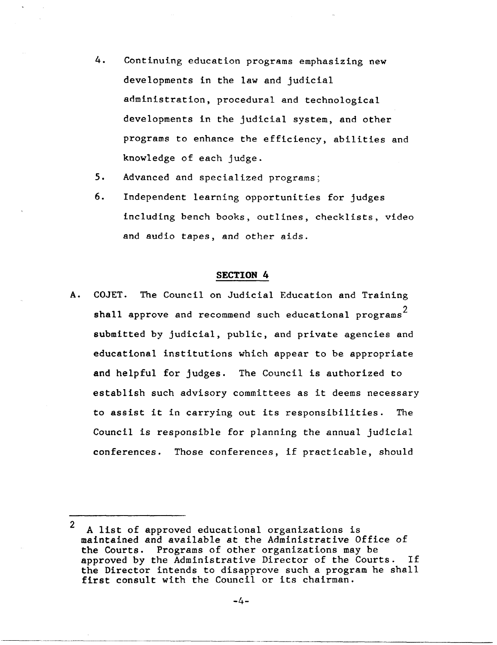- 4. Continuing education programs emphasizing new developments in the law and judicial administration, procedural and technological developments in the judicial system, and other programs to enhance the efficiency, abilities and knowledge of each judge.
- 5. Advanced and specialized programs;
- 6. Independent learning opportunities for judges including bench books, outlines, checklists, video and audio tapes, and other aids.

### SECTION 4

A. COJET. The Council on Judicial Education and Training shall approve and recommend such educational programs<sup>2</sup> submitted by judicial, public, and private agencies and educational institutions which appear to be appropriate and helpful for judges. The Council is authorized to establish such advisory committees as it deems necessary to assist it in carrying out its responsibilities. The Council is responsible for planning the annual judicial conferences. Those conferences, if practicable, should

"-"---\_.\_.\_.\_------

<sup>2</sup>  A list of approved educational organizations is maintained and available at the Administrative Office of the Courts. Programs of other organizations may be approved by the Administrative Director of the Courts. If the Director intends to disapprove such a program he shall first consult with the Council or its chairman.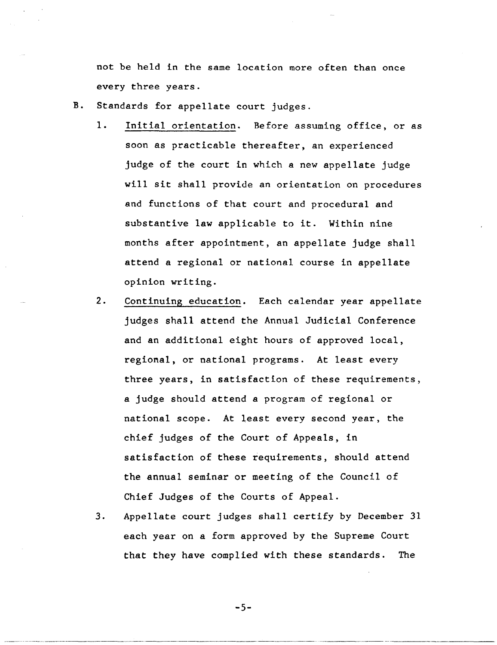not be held in the same location more often than once every three years.

- B. Standards for appellate court judges.
	- 1. Initial orientation. Before assuming office, or as soon as practicable thereafter, an experienced judge of the court in which a new appellate judge will sit shall provide an orientation on procedures and functions of that court and procedural and substantive law applicable to it. Within nine months after appointment, an appellate judge shall attend a regional or national course in appellate opinion writing.
	- 2. Continuing education. Each calendar year appellate judges shall attend the Annual Judicial Conference and an additional eight hours of approved local, regional, or national programs. At least every three years, in satisfaction of these requirements, a judge should attend a program of regional or national scope. At least every second year, the chief judges of the Court of Appeals, in satisfaction of these requirements, should attend the annual seminar or meeting of the Council of Chief Judges of the Courts of Appeal.
	- 3. Appellate court judges shall certify by December 31 each year on a form approved by the Supreme Court that they have complied with these standards. The

-5-

... \_ ..... \_ ..... \_ ... \_-\_.\_--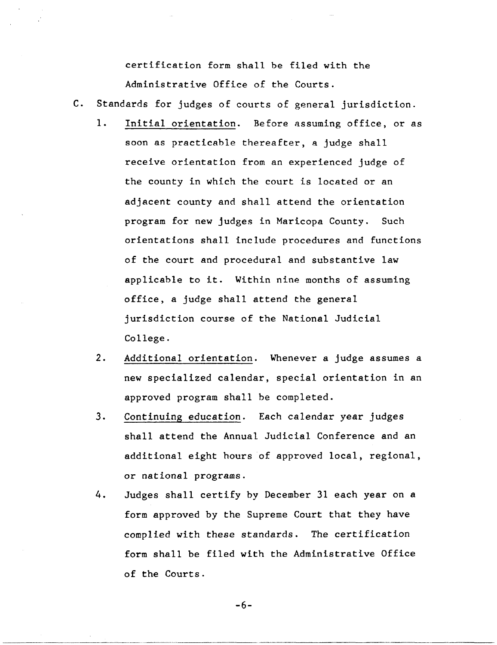certification form shall be filed with the Administrative Office of the Courts.

- C. Standards for judges of courts of general jurisdiction.
	- 1. Initial orientation. Before assuming office, or as soon as practicable thereafter, a judge shall receive orientation from an experienced judge of the county in which the court is located or an adjacent county and shall attend the orientation program for new judges in Maricopa County. Such orientations shall include procedures and functions of the court and procedural and substantive law applicable to it. Within nine months of assuming office, a judge shall attend the general jurisdiction course of the National Judicial College.
	- 2. Additional orientation. Whenever a judge assumes a new specialized calendar, special orientation in an approved program shall be completed.
	- 3. Continuing education. Each calendar year judges shall attend the Annual Judicial Conference and an additional eight hours of approved local, regional, or national programs.
	- 4. Judges shall certify by December 31 each year on a form approved by the Supreme Court that they have complied with these standards. The certification form shall be filed with the Administrative Office of the Courts.

-6-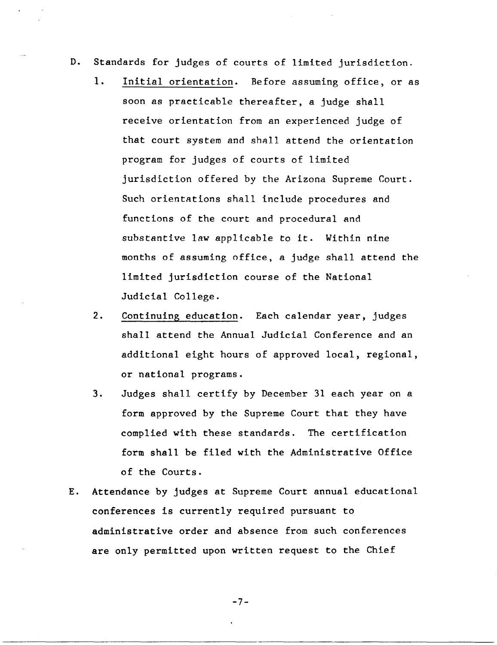- D. Standards for judges of courts of limited jurisdiction.
	- 1. Initial orientation. Before assuming office, or as soon as practicable thereafter, a judge shall receive orientation from an experienced judge of that court system and shall attend the orientation program for judges of courts of limited jurisdiction offered by the Arizona Supreme Court. Such orientations shall include procedures and functions of the court and procedural and substantive law applicable to it. Within nine months of assuming office, a judge shall attend the limited jurisdiction course of the National Judicial College.
	- 2. Continuing education. Each calendar year, judges shall attend the Annual Judicial Conference and an additional eight hours of approved local, regional, or national programs.
	- 3. Judges shall certify by December 31 each year on a form approved by the Supreme Court that they have complied with these standards. The certification form shall be filed with the Administrative Office of the Courts.
- E. Attendance by judges at Supreme Court annual educational conferences is currently required pursuant to administrative order and absence from such conferences are only permitted upon written request to the Chief

-7-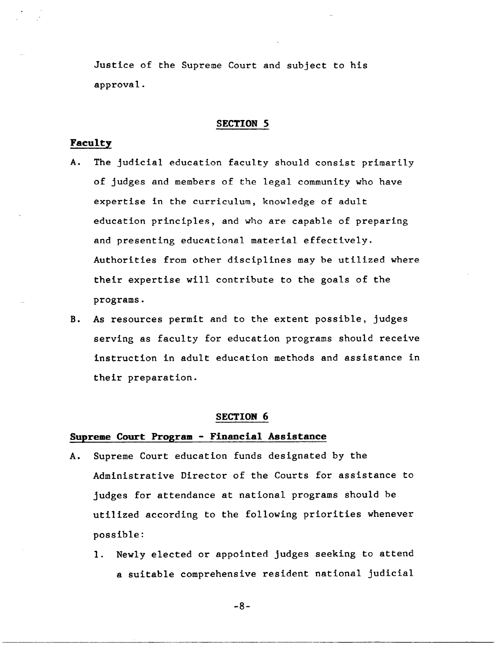Justice of the Supreme Court and subject to his approval.

### **SECTION 5**

# **Faculty**

- A. The judicial education faculty should consist primarily of judges and members of the legal community who have expertise in the curriculum, knowledge of adult education principles, and who are capable of preparing and presenting educational material effectively. Authorities from other disciplines may be utilized where their expertise will contribute to the goals of the programs.
- B. As resources permit and to the extent possible, judges serving as faculty for education programs should receive instruction in adult education methods and assistance in their preparation.

### **SECTION 6**

# **Supreme Court Program - Financial Assistance**

- A. Supreme Court education funds designated by the Administrative Director of the Courts for assistance to judges for attendance at national programs should be utilized according to the following priorities whenever possible:
	- 1. Newly elected or appointed judges seeking to attend a suitable comprehensive resident national judicial

-8-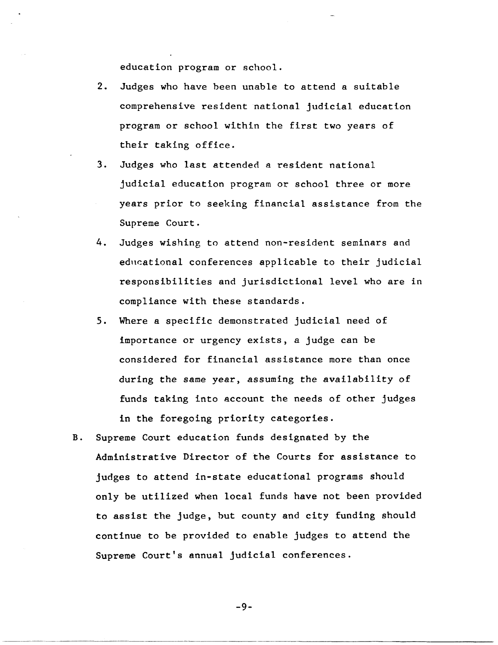education program or school.

- 2. Judges who have been unable to attend a suitable comprehensive resident national judicial education program or school within the first two years of their taking office.
- 3. Judges who last attended a resident national judicial education program or school three or more years prior to seeking financial assistance from the Supreme Court.
- 4. Judges wishing to attend non-resident seminars and educational conferences applicable to their judicial responsibilities and jurisdictional level who are in compliance with these standards.
- 5. Where a specific demonstrated judicial need of importance or urgency exists, a judge can be considered for financial assistance more than once during the same year, assuming the availability of funds taking into account the needs of other judges in the foregoing priority categories.
- B. Supreme Court education funds designated by the Administrative Director of the Courts for assistance to judges to attend in-state educational programs should only be utilized when local funds have not been provided to assist the judge, but county and city funding should continue to be provided to enable judges to attend the Supreme Court's annual judicial conferences.

-9-